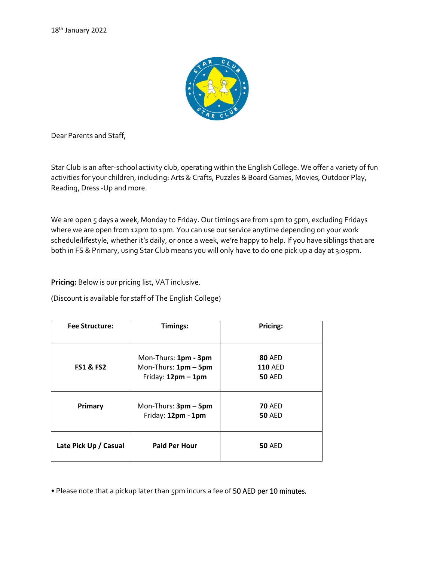

Dear Parents and Staff,

Star Club is an after-school activity club, operating within the English College. We offer a variety of fun activities for your children, including: Arts & Crafts, Puzzles & Board Games, Movies, Outdoor Play, Reading, Dress -Up and more.

We are open 5 days a week, Monday to Friday. Our timings are from 1pm to 5pm, excluding Fridays where we are open from 12pm to 1pm. You can use our service anytime depending on your work schedule/lifestyle, whether it's daily, or once a week, we're happy to help. If you have siblings that are both in FS & Primary, using Star Club means you will only have to do one pick up a day at 3:05pm.

**Pricing:** Below is our pricing list, VAT inclusive.

(Discount is available for staff of The English College)

| <b>Fee Structure:</b> | Timings:                                                           | Pricing:                                         |
|-----------------------|--------------------------------------------------------------------|--------------------------------------------------|
| <b>FS1 &amp; FS2</b>  | Mon-Thurs: 1pm - 3pm<br>Mon-Thurs: 1pm - 5pm<br>Friday: 12pm - 1pm | <b>80 AED</b><br><b>110 AED</b><br><b>50 AED</b> |
| Primary               | Mon-Thurs: 3pm - 5pm<br>Friday: 12pm - 1pm                         | <b>70 AED</b><br><b>50 AED</b>                   |
| Late Pick Up / Casual | <b>Paid Per Hour</b>                                               | <b>50 AED</b>                                    |

• Please note that a pickup later than 5pm incurs a fee of 50 AED per 10 minutes.